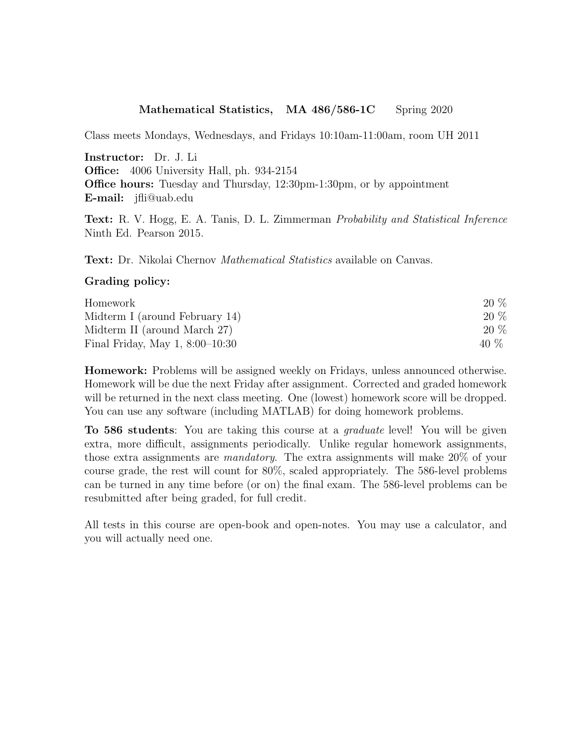## Mathematical Statistics, MA 486/586-1C Spring 2020

Class meets Mondays, Wednesdays, and Fridays 10:10am-11:00am, room UH 2011

Instructor: Dr. J. Li Office: 4006 University Hall, ph. 934-2154 Office hours: Tuesday and Thursday, 12:30pm-1:30pm, or by appointment E-mail: jfli@uab.edu

Text: R. V. Hogg, E. A. Tanis, D. L. Zimmerman Probability and Statistical Inference Ninth Ed. Pearson 2015.

Text: Dr. Nikolai Chernov Mathematical Statistics available on Canvas.

## Grading policy:

| Homework                          | 20 % |
|-----------------------------------|------|
| Midterm I (around February 14)    | 20 % |
| Midterm II (around March 27)      | 20 % |
| Final Friday, May $1, 8:00-10:30$ | 40 % |

Homework: Problems will be assigned weekly on Fridays, unless announced otherwise. Homework will be due the next Friday after assignment. Corrected and graded homework will be returned in the next class meeting. One (lowest) homework score will be dropped. You can use any software (including MATLAB) for doing homework problems.

To 586 students: You are taking this course at a *graduate* level! You will be given extra, more difficult, assignments periodically. Unlike regular homework assignments, those extra assignments are mandatory. The extra assignments will make 20% of your course grade, the rest will count for 80%, scaled appropriately. The 586-level problems can be turned in any time before (or on) the final exam. The 586-level problems can be resubmitted after being graded, for full credit.

All tests in this course are open-book and open-notes. You may use a calculator, and you will actually need one.